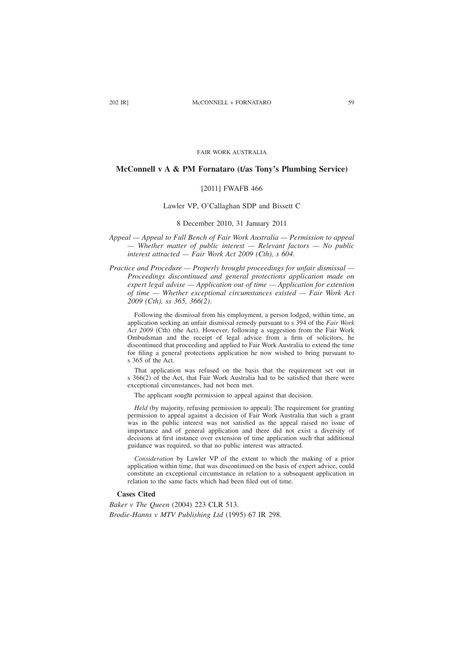FAIR WORK AUSTRALIA

# **McConnell v A & PM Fornataro (t/as Tony's Plumbing Service)**

### [2011] FWAFB 466

### Lawler VP, O'Callaghan SDP and Bissett C

### 8 December 2010, 31 January 2011

*Appeal — Appeal to Full Bench of Fair Work Australia — Permission to appeal — Whether matter of public interest — Relevant factors — No public interest attracted — Fair Work Act 2009 (Cth), s 604*.

*Practice and Procedure — Properly brought proceedings for unfair dismissal — Proceedings discontinued and general protections application made on expert legal advise — Application out of time — Application for extention of time — Whether exceptional circumstances existed — Fair Work Act 2009 (Cth), ss 365, 366(2)*.

Following the dismissal from his employment, a person lodged, within time, an application seeking an unfair dismissal remedy pursuant to s 394 of the *Fair Work Act 2009* (Cth) (the Act). However, following a suggestion from the Fair Work Ombudsman and the receipt of legal advice from a firm of solicitors, he discontinued that proceeding and applied to Fair Work Australia to extend the time for filing a general protections application he now wished to bring pursuant to s 365 of the Act.

That application was refused on the basis that the requirement set out in s 366(2) of the Act, that Fair Work Australia had to be satisfied that there were exceptional circumstances, had not been met.

The applicant sought permission to appeal against that decision.

*Held* (by majority, refusing permission to appeal): The requirement for granting permission to appeal against a decision of Fair Work Australia that such a grant was in the public interest was not satisfied as the appeal raised no issue of importance and of general application and there did not exist a diversity of decisions at first instance over extension of time application such that additional guidance was required, so that no public interest was attracted.

*Consideration* by Lawler VP of the extent to which the making of a prior application within time, that was discontinued on the basis of expert advice, could constitute an exceptional circumstance in relation to a subsequent application in relation to the same facts which had been filed out of time.

# **Cases Cited**

*Baker v The Queen* (2004) 223 CLR 513. *Brodie-Hanns v MTV Publishing Ltd* (1995) 67 IR 298.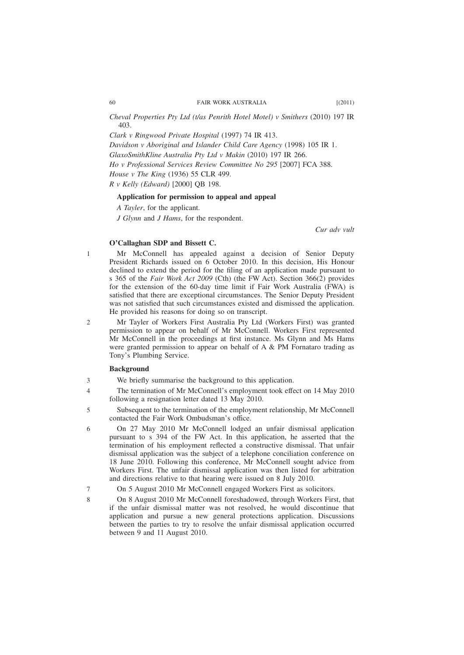*Cheval Properties Pty Ltd (t/as Penrith Hotel Motel) v Smithers* (2010) 197 IR 403.

*Clark v Ringwood Private Hospital* (1997) 74 IR 413.

*Davidson v Aboriginal and Islander Child Care Agency* (1998) 105 IR 1.

*GlaxoSmithKline Australia Pty Ltd v Makin* (2010) 197 IR 266.

*Ho v Professional Services Review Committee No 295* [2007] FCA 388.

*House v The King* (1936) 55 CLR 499.

*R v Kelly (Edward)* [2000] QB 198.

## **Application for permission to appeal and appeal**

*A Tayler*, for the applicant.

*J Glynn* and *J Hams*, for the respondent.

*Cur adv vult*

# **O'Callaghan SDP and Bissett C.**

Mr McConnell has appealed against a decision of Senior Deputy President Richards issued on 6 October 2010. In this decision, His Honour declined to extend the period for the filing of an application made pursuant to s 365 of the *Fair Work Act 2009* (Cth) (the FW Act). Section 366(2) provides for the extension of the 60-day time limit if Fair Work Australia (FWA) is satisfied that there are exceptional circumstances. The Senior Deputy President was not satisfied that such circumstances existed and dismissed the application. He provided his reasons for doing so on transcript.

Mr Tayler of Workers First Australia Pty Ltd (Workers First) was granted permission to appear on behalf of Mr McConnell. Workers First represented Mr McConnell in the proceedings at first instance. Ms Glynn and Ms Hams were granted permission to appear on behalf of A & PM Fornataro trading as Tony's Plumbing Service.

# **Background**

- We briefly summarise the background to this application. 3
- The termination of Mr McConnell's employment took effect on 14 May 2010 following a resignation letter dated 13 May 2010. 4
- Subsequent to the termination of the employment relationship, Mr McConnell contacted the Fair Work Ombudsman's office. 5

On 27 May 2010 Mr McConnell lodged an unfair dismissal application pursuant to s 394 of the FW Act. In this application, he asserted that the termination of his employment reflected a constructive dismissal. That unfair dismissal application was the subject of a telephone conciliation conference on 18 June 2010. Following this conference, Mr McConnell sought advice from Workers First. The unfair dismissal application was then listed for arbitration and directions relative to that hearing were issued on 8 July 2010. 6

- On 5 August 2010 Mr McConnell engaged Workers First as solicitors. 7
	- On 8 August 2010 Mr McConnell foreshadowed, through Workers First, that if the unfair dismissal matter was not resolved, he would discontinue that application and pursue a new general protections application. Discussions between the parties to try to resolve the unfair dismissal application occurred between 9 and 11 August 2010.

1

 $\mathcal{L}$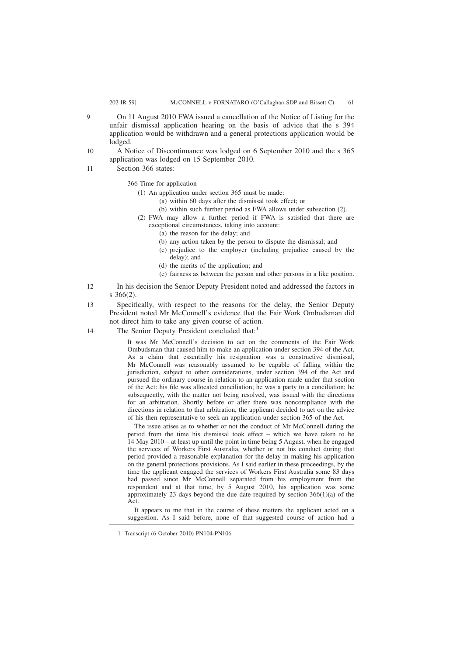- On 11 August 2010 FWA issued a cancellation of the Notice of Listing for the unfair dismissal application hearing on the basis of advice that the s 394 application would be withdrawn and a general protections application would be lodged.
- A Notice of Discontinuance was lodged on 6 September 2010 and the s 365 application was lodged on 15 September 2010. 10
- Section 366 states: 11

366 Time for application

- (1) An application under section 365 must be made:
	- (a) within 60 days after the dismissal took effect; or
	- (b) within such further period as FWA allows under subsection (2).
- (2) FWA may allow a further period if FWA is satisfied that there are exceptional circumstances, taking into account:
	- (a) the reason for the delay; and
	- (b) any action taken by the person to dispute the dismissal; and
	- (c) prejudice to the employer (including prejudice caused by the delay); and
	- (d) the merits of the application; and
	- (e) fairness as between the person and other persons in a like position.
- In his decision the Senior Deputy President noted and addressed the factors in s 366(2).  $12$
- Specifically, with respect to the reasons for the delay, the Senior Deputy President noted Mr McConnell's evidence that the Fair Work Ombudsman did not direct him to take any given course of action. 13
- The Senior Deputy President concluded that:<sup>1</sup> 14

It was Mr McConnell's decision to act on the comments of the Fair Work Ombudsman that caused him to make an application under section 394 of the Act. As a claim that essentially his resignation was a constructive dismissal, Mr McConnell was reasonably assumed to be capable of falling within the jurisdiction, subject to other considerations, under section 394 of the Act and pursued the ordinary course in relation to an application made under that section of the Act: his file was allocated conciliation; he was a party to a conciliation; he subsequently, with the matter not being resolved, was issued with the directions for an arbitration. Shortly before or after there was noncompliance with the directions in relation to that arbitration, the applicant decided to act on the advice of his then representative to seek an application under section 365 of the Act.

The issue arises as to whether or not the conduct of Mr McConnell during the period from the time his dismissal took effect – which we have taken to be 14 May 2010 – at least up until the point in time being 5 August, when he engaged the services of Workers First Australia, whether or not his conduct during that period provided a reasonable explanation for the delay in making his application on the general protections provisions. As I said earlier in these proceedings, by the time the applicant engaged the services of Workers First Australia some 83 days had passed since Mr McConnell separated from his employment from the respondent and at that time, by 5 August 2010, his application was some approximately 23 days beyond the due date required by section 366(1)(a) of the Act.

It appears to me that in the course of these matters the applicant acted on a suggestion. As I said before, none of that suggested course of action had a

 $\alpha$ 

<sup>1</sup> Transcript (6 October 2010) PN104-PN106.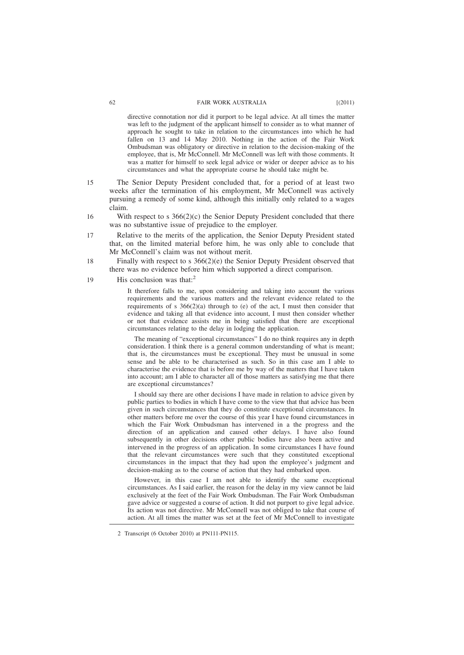directive connotation nor did it purport to be legal advice. At all times the matter was left to the judgment of the applicant himself to consider as to what manner of approach he sought to take in relation to the circumstances into which he had fallen on 13 and 14 May 2010. Nothing in the action of the Fair Work Ombudsman was obligatory or directive in relation to the decision-making of the employee, that is, Mr McConnell. Mr McConnell was left with those comments. It was a matter for himself to seek legal advice or wider or deeper advice as to his circumstances and what the appropriate course he should take might be.

- The Senior Deputy President concluded that, for a period of at least two weeks after the termination of his employment, Mr McConnell was actively pursuing a remedy of some kind, although this initially only related to a wages claim. 15
- With respect to s  $366(2)(c)$  the Senior Deputy President concluded that there was no substantive issue of prejudice to the employer. 16
- Relative to the merits of the application, the Senior Deputy President stated that, on the limited material before him, he was only able to conclude that Mr McConnell's claim was not without merit. 17
- Finally with respect to s 366(2)(e) the Senior Deputy President observed that there was no evidence before him which supported a direct comparison. 18
- His conclusion was that: $^2$ 19

It therefore falls to me, upon considering and taking into account the various requirements and the various matters and the relevant evidence related to the requirements of s  $366(2)(a)$  through to (e) of the act, I must then consider that evidence and taking all that evidence into account, I must then consider whether or not that evidence assists me in being satisfied that there are exceptional circumstances relating to the delay in lodging the application.

The meaning of "exceptional circumstances" I do no think requires any in depth consideration. I think there is a general common understanding of what is meant; that is, the circumstances must be exceptional. They must be unusual in some sense and be able to be characterised as such. So in this case am I able to characterise the evidence that is before me by way of the matters that I have taken into account; am I able to character all of those matters as satisfying me that there are exceptional circumstances?

I should say there are other decisions I have made in relation to advice given by public parties to bodies in which I have come to the view that that advice has been given in such circumstances that they do constitute exceptional circumstances. In other matters before me over the course of this year I have found circumstances in which the Fair Work Ombudsman has intervened in a the progress and the direction of an application and caused other delays. I have also found subsequently in other decisions other public bodies have also been active and intervened in the progress of an application. In some circumstances I have found that the relevant circumstances were such that they constituted exceptional circumstances in the impact that they had upon the employee's judgment and decision-making as to the course of action that they had embarked upon.

However, in this case I am not able to identify the same exceptional circumstances. As I said earlier, the reason for the delay in my view cannot be laid exclusively at the feet of the Fair Work Ombudsman. The Fair Work Ombudsman gave advice or suggested a course of action. It did not purport to give legal advice. Its action was not directive. Mr McConnell was not obliged to take that course of action. At all times the matter was set at the feet of Mr McConnell to investigate

<sup>2</sup> Transcript (6 October 2010) at PN111-PN115.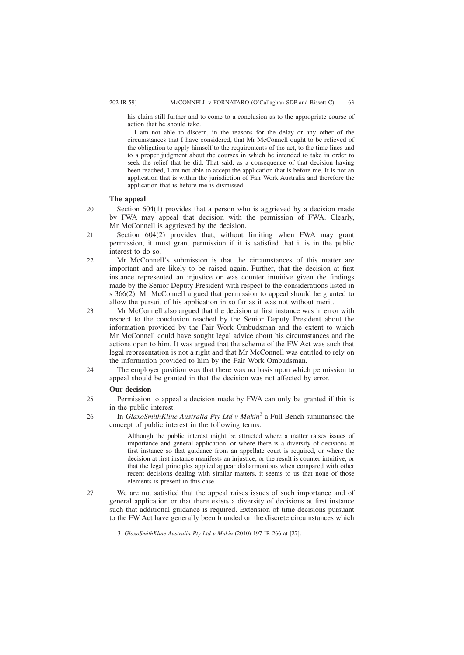his claim still further and to come to a conclusion as to the appropriate course of action that he should take.

I am not able to discern, in the reasons for the delay or any other of the circumstances that I have considered, that Mr McConnell ought to be relieved of the obligation to apply himself to the requirements of the act, to the time lines and to a proper judgment about the courses in which he intended to take in order to seek the relief that he did. That said, as a consequence of that decision having been reached, I am not able to accept the application that is before me. It is not an application that is within the jurisdiction of Fair Work Australia and therefore the application that is before me is dismissed.

### **The appeal**

- Section  $604(1)$  provides that a person who is aggrieved by a decision made by FWA may appeal that decision with the permission of FWA. Clearly, Mr McConnell is aggrieved by the decision. 20
- Section  $604(2)$  provides that, without limiting when FWA may grant permission, it must grant permission if it is satisfied that it is in the public interest to do so. 21
- Mr McConnell's submission is that the circumstances of this matter are important and are likely to be raised again. Further, that the decision at first instance represented an injustice or was counter intuitive given the findings made by the Senior Deputy President with respect to the considerations listed in s 366(2). Mr McConnell argued that permission to appeal should be granted to allow the pursuit of his application in so far as it was not without merit. 22
- Mr McConnell also argued that the decision at first instance was in error with respect to the conclusion reached by the Senior Deputy President about the information provided by the Fair Work Ombudsman and the extent to which Mr McConnell could have sought legal advice about his circumstances and the actions open to him. It was argued that the scheme of the FW Act was such that legal representation is not a right and that Mr McConnell was entitled to rely on the information provided to him by the Fair Work Ombudsman. 23
- The employer position was that there was no basis upon which permission to appeal should be granted in that the decision was not affected by error. 24

### **Our decision**

- Permission to appeal a decision made by FWA can only be granted if this is in the public interest. 25
- In *GlaxoSmithKline Australia Pty Ltd v Makin*<sup>3</sup> a Full Bench summarised the concept of public interest in the following terms: 26

Although the public interest might be attracted where a matter raises issues of importance and general application, or where there is a diversity of decisions at first instance so that guidance from an appellate court is required, or where the decision at first instance manifests an injustice, or the result is counter intuitive, or that the legal principles applied appear disharmonious when compared with other recent decisions dealing with similar matters, it seems to us that none of those elements is present in this case.

We are not satisfied that the appeal raises issues of such importance and of general application or that there exists a diversity of decisions at first instance such that additional guidance is required. Extension of time decisions pursuant to the FW Act have generally been founded on the discrete circumstances which  $27$ 

<sup>3</sup> *GlaxoSmithKline Australia Pty Ltd v Makin* (2010) 197 IR 266 at [27].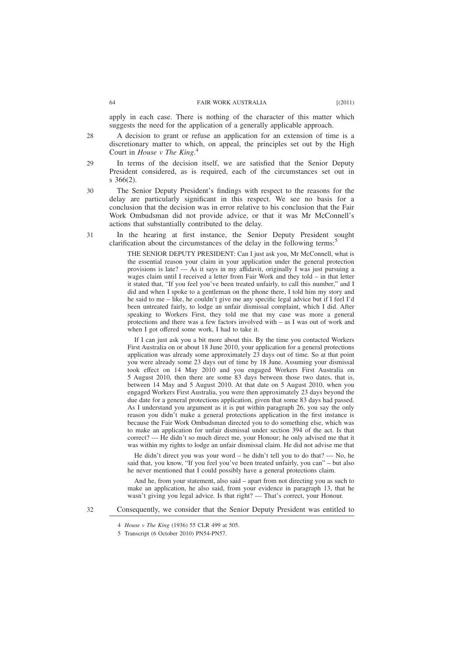apply in each case. There is nothing of the character of this matter which suggests the need for the application of a generally applicable approach.

- A decision to grant or refuse an application for an extension of time is a discretionary matter to which, on appeal, the principles set out by the High Court in *House v The King*. 4 28
- In terms of the decision itself, we are satisfied that the Senior Deputy President considered, as is required, each of the circumstances set out in s 366(2). 29
- The Senior Deputy President's findings with respect to the reasons for the delay are particularly significant in this respect. We see no basis for a conclusion that the decision was in error relative to his conclusion that the Fair Work Ombudsman did not provide advice, or that it was Mr McConnell's actions that substantially contributed to the delay. 30
- In the hearing at first instance, the Senior Deputy President sought clarification about the circumstances of the delay in the following terms: $\overline{S}$ 31

THE SENIOR DEPUTY PRESIDENT: Can I just ask you, Mr McConnell, what is the essential reason your claim in your application under the general protection provisions is late? --- As it says in my affidavit, originally I was just pursuing a wages claim until I received a letter from Fair Work and they told – in that letter it stated that, "If you feel you've been treated unfairly, to call this number," and I did and when I spoke to a gentleman on the phone there, I told him my story and he said to me – like, he couldn't give me any specific legal advice but if I feel I'd been untreated fairly, to lodge an unfair dismissal complaint, which I did. After speaking to Workers First, they told me that my case was more a general protections and there was a few factors involved with – as I was out of work and when I got offered some work, I had to take it.

If I can just ask you a bit more about this. By the time you contacted Workers First Australia on or about 18 June 2010, your application for a general protections application was already some approximately 23 days out of time. So at that point you were already some 23 days out of time by 18 June. Assuming your dismissal took effect on 14 May 2010 and you engaged Workers First Australia on 5 August 2010, then there are some 83 days between those two dates, that is, between 14 May and 5 August 2010. At that date on 5 August 2010, when you engaged Workers First Australia, you were then approximately 23 days beyond the due date for a general protections application, given that some 83 days had passed. As I understand you argument as it is put within paragraph 26, you say the only reason you didn't make a general protections application in the first instance is because the Fair Work Ombudsman directed you to do something else, which was to make an application for unfair dismissal under section 394 of the act. Is that correct? --- He didn't so much direct me, your Honour; he only advised me that it was within my rights to lodge an unfair dismissal claim. He did not advise me that

He didn't direct you was your word – he didn't tell you to do that? --- No, he said that, you know, "If you feel you've been treated unfairly, you can" – but also he never mentioned that I could possibly have a general protections claim.

And he, from your statement, also said – apart from not directing you as such to make an application, he also said, from your evidence in paragraph 13, that he wasn't giving you legal advice. Is that right? --- That's correct, your Honour.

Consequently, we consider that the Senior Deputy President was entitled to

<sup>4</sup> *House v The King* (1936) 55 CLR 499 at 505.

<sup>5</sup> Transcript (6 October 2010) PN54-PN57.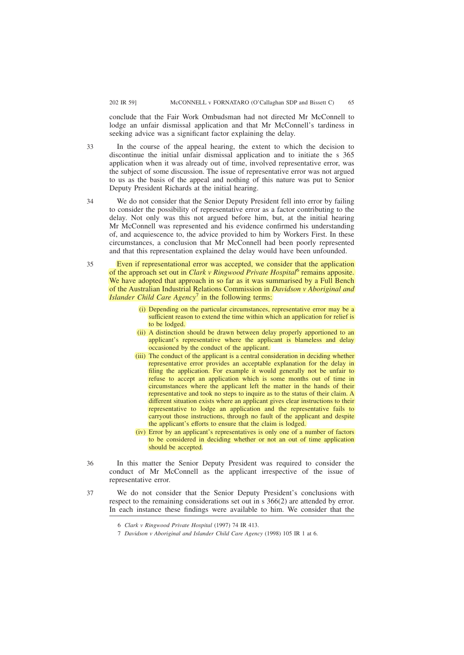conclude that the Fair Work Ombudsman had not directed Mr McConnell to lodge an unfair dismissal application and that Mr McConnell's tardiness in seeking advice was a significant factor explaining the delay.

- In the course of the appeal hearing, the extent to which the decision to discontinue the initial unfair dismissal application and to initiate the s 365 application when it was already out of time, involved representative error, was the subject of some discussion. The issue of representative error was not argued to us as the basis of the appeal and nothing of this nature was put to Senior Deputy President Richards at the initial hearing. 33
- We do not consider that the Senior Deputy President fell into error by failing to consider the possibility of representative error as a factor contributing to the delay. Not only was this not argued before him, but, at the initial hearing Mr McConnell was represented and his evidence confirmed his understanding of, and acquiescence to, the advice provided to him by Workers First. In these circumstances, a conclusion that Mr McConnell had been poorly represented and that this representation explained the delay would have been unfounded. 34
- Even if representational error was accepted, we consider that the application of the approach set out in *Clark v Ringwood Private Hospital*<sup>6</sup> remains apposite. We have adopted that approach in so far as it was summarised by a Full Bench of the Australian Industrial Relations Commission in *Davidson v Aboriginal and Islander Child Care Agency*<sup>7</sup> in the following terms: 35
	- (i) Depending on the particular circumstances, representative error may be a sufficient reason to extend the time within which an application for relief is to be lodged.
	- (ii) A distinction should be drawn between delay properly apportioned to an applicant's representative where the applicant is blameless and delay occasioned by the conduct of the applicant.
	- (iii) The conduct of the applicant is a central consideration in deciding whether representative error provides an acceptable explanation for the delay in filing the application. For example it would generally not be unfair to refuse to accept an application which is some months out of time in circumstances where the applicant left the matter in the hands of their representative and took no steps to inquire as to the status of their claim. A different situation exists where an applicant gives clear instructions to their representative to lodge an application and the representative fails to carryout those instructions, through no fault of the applicant and despite the applicant's efforts to ensure that the claim is lodged.
	- (iv) Error by an applicant's representatives is only one of a number of factors to be considered in deciding whether or not an out of time application should be accepted.
- In this matter the Senior Deputy President was required to consider the conduct of Mr McConnell as the applicant irrespective of the issue of representative error. 36
- We do not consider that the Senior Deputy President's conclusions with respect to the remaining considerations set out in s 366(2) are attended by error. In each instance these findings were available to him. We consider that the 37

<sup>6</sup> *Clark v Ringwood Private Hospital* (1997) 74 IR 413.

<sup>7</sup> *Davidson v Aboriginal and Islander Child Care Agency* (1998) 105 IR 1 at 6.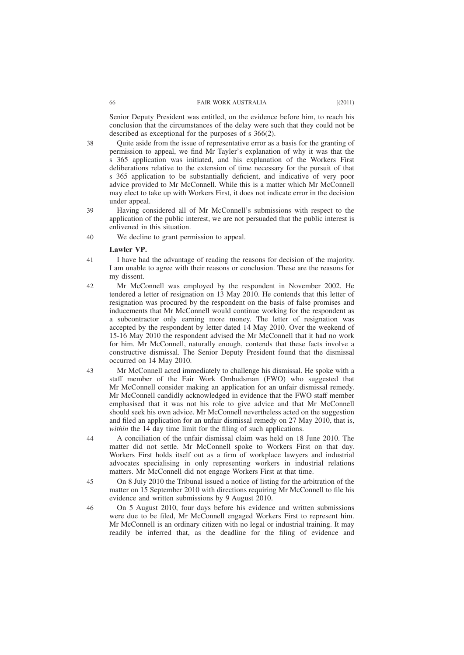Senior Deputy President was entitled, on the evidence before him, to reach his conclusion that the circumstances of the delay were such that they could not be described as exceptional for the purposes of s 366(2).

Quite aside from the issue of representative error as a basis for the granting of permission to appeal, we find Mr Tayler's explanation of why it was that the s 365 application was initiated, and his explanation of the Workers First deliberations relative to the extension of time necessary for the pursuit of that s 365 application to be substantially deficient, and indicative of very poor advice provided to Mr McConnell. While this is a matter which Mr McConnell may elect to take up with Workers First, it does not indicate error in the decision under appeal.

- Having considered all of Mr McConnell's submissions with respect to the application of the public interest, we are not persuaded that the public interest is enlivened in this situation. 39
- We decline to grant permission to appeal. 40

### **Lawler VP.**

- I have had the advantage of reading the reasons for decision of the majority. I am unable to agree with their reasons or conclusion. These are the reasons for my dissent. 41
- Mr McConnell was employed by the respondent in November 2002. He tendered a letter of resignation on 13 May 2010. He contends that this letter of resignation was procured by the respondent on the basis of false promises and inducements that Mr McConnell would continue working for the respondent as a subcontractor only earning more money. The letter of resignation was accepted by the respondent by letter dated 14 May 2010. Over the weekend of 15-16 May 2010 the respondent advised the Mr McConnell that it had no work for him. Mr McConnell, naturally enough, contends that these facts involve a constructive dismissal. The Senior Deputy President found that the dismissal occurred on 14 May 2010. 42
- Mr McConnell acted immediately to challenge his dismissal. He spoke with a staff member of the Fair Work Ombudsman (FWO) who suggested that Mr McConnell consider making an application for an unfair dismissal remedy. Mr McConnell candidly acknowledged in evidence that the FWO staff member emphasised that it was not his role to give advice and that Mr McConnell should seek his own advice. Mr McConnell nevertheless acted on the suggestion and filed an application for an unfair dismissal remedy on 27 May 2010, that is, *within* the 14 day time limit for the filing of such applications. 43
- A conciliation of the unfair dismissal claim was held on 18 June 2010. The matter did not settle. Mr McConnell spoke to Workers First on that day. Workers First holds itself out as a firm of workplace lawyers and industrial advocates specialising in only representing workers in industrial relations matters. Mr McConnell did not engage Workers First at that time. 44
- On 8 July 2010 the Tribunal issued a notice of listing for the arbitration of the matter on 15 September 2010 with directions requiring Mr McConnell to file his evidence and written submissions by 9 August 2010. 45
- On 5 August 2010, four days before his evidence and written submissions were due to be filed, Mr McConnell engaged Workers First to represent him. Mr McConnell is an ordinary citizen with no legal or industrial training. It may readily be inferred that, as the deadline for the filing of evidence and 46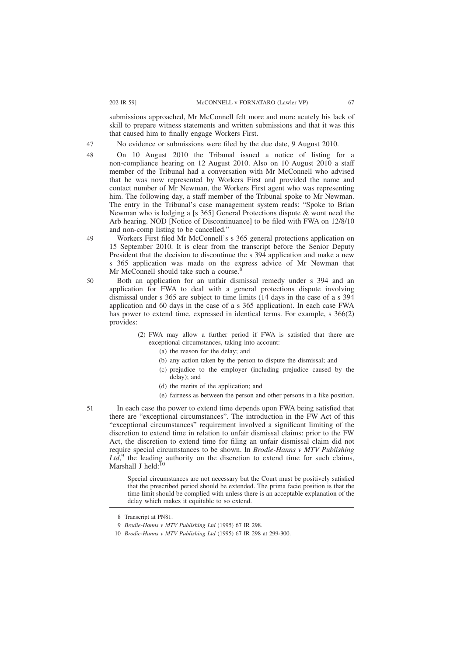submissions approached, Mr McConnell felt more and more acutely his lack of skill to prepare witness statements and written submissions and that it was this that caused him to finally engage Workers First.

No evidence or submissions were filed by the due date, 9 August 2010.

On 10 August 2010 the Tribunal issued a notice of listing for a non-compliance hearing on 12 August 2010. Also on 10 August 2010 a staff member of the Tribunal had a conversation with Mr McConnell who advised that he was now represented by Workers First and provided the name and contact number of Mr Newman, the Workers First agent who was representing him. The following day, a staff member of the Tribunal spoke to Mr Newman. The entry in the Tribunal's case management system reads: "Spoke to Brian Newman who is lodging a [s 365] General Protections dispute & wont need the Arb hearing. NOD [Notice of Discontinuance] to be filed with FWA on 12/8/10 and non-comp listing to be cancelled."

Workers First filed Mr McConnell's s 365 general protections application on 15 September 2010. It is clear from the transcript before the Senior Deputy President that the decision to discontinue the s 394 application and make a new s 365 application was made on the express advice of Mr Newman that Mr McConnell should take such a course.<sup>8</sup>

- Both an application for an unfair dismissal remedy under s 394 and an application for FWA to deal with a general protections dispute involving dismissal under s 365 are subject to time limits (14 days in the case of a s 394 application and 60 days in the case of a s 365 application). In each case FWA has power to extend time, expressed in identical terms. For example, s 366(2) provides:
	- (2) FWA may allow a further period if FWA is satisfied that there are exceptional circumstances, taking into account:
		- (a) the reason for the delay; and
		- (b) any action taken by the person to dispute the dismissal; and
		- (c) prejudice to the employer (including prejudice caused by the delay); and
		- (d) the merits of the application; and
		- (e) fairness as between the person and other persons in a like position.
- In each case the power to extend time depends upon FWA being satisfied that there are "exceptional circumstances". The introduction in the FW Act of this "exceptional circumstances" requirement involved a significant limiting of the discretion to extend time in relation to unfair dismissal claims: prior to the FW Act, the discretion to extend time for filing an unfair dismissal claim did not require special circumstances to be shown. In *Brodie-Hanns v MTV Publishing*  $Lt\hat{d}$ , the leading authority on the discretion to extend time for such claims, Marshall J held:<sup>10</sup>

Special circumstances are not necessary but the Court must be positively satisfied that the prescribed period should be extended. The prima facie position is that the time limit should be complied with unless there is an acceptable explanation of the delay which makes it equitable to so extend.

49

50

47 48

<sup>8</sup> Transcript at PN81.

<sup>9</sup> *Brodie-Hanns v MTV Publishing Ltd* (1995) 67 IR 298.

<sup>10</sup> *Brodie-Hanns v MTV Publishing Ltd* (1995) 67 IR 298 at 299-300.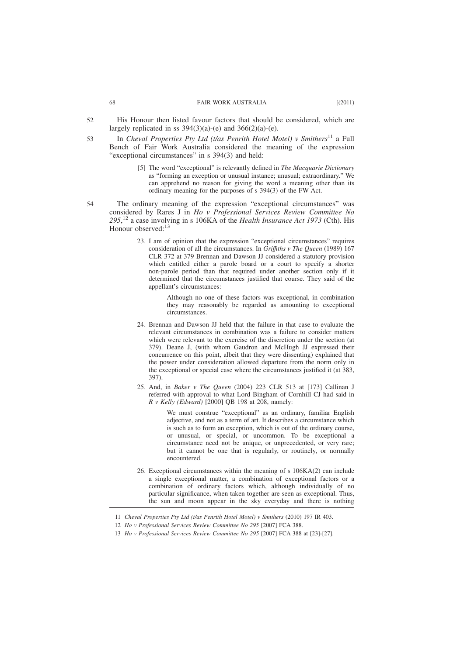- His Honour then listed favour factors that should be considered, which are largely replicated in ss  $394(3)(a)-(e)$  and  $366(2)(a)-(e)$ . 52
- In *Cheval Properties Pty Ltd (t/as Penrith Hotel Motel)* v *Smithers*<sup>11</sup> a Full Bench of Fair Work Australia considered the meaning of the expression "exceptional circumstances" in s 394(3) and held: 53
	- [5] The word "exceptional" is relevantly defined in *The Macquarie Dictionary* as "forming an exception or unusual instance; unusual; extraordinary." We can apprehend no reason for giving the word a meaning other than its ordinary meaning for the purposes of s 394(3) of the FW Act.
- The ordinary meaning of the expression "exceptional circumstances" was considered by Rares J in *Ho v Professional Services Review Committee No 295*, <sup>12</sup> a case involving in s 106KA of the *Health Insurance Act 1973* (Cth). His Honour observed:<sup>13</sup> 54
	- 23. I am of opinion that the expression "exceptional circumstances" requires consideration of all the circumstances. In *Griffıths v The Queen* (1989) 167 CLR 372 at 379 Brennan and Dawson JJ considered a statutory provision which entitled either a parole board or a court to specify a shorter non-parole period than that required under another section only if it determined that the circumstances justified that course. They said of the appellant's circumstances:

Although no one of these factors was exceptional, in combination they may reasonably be regarded as amounting to exceptional circumstances.

- 24. Brennan and Dawson JJ held that the failure in that case to evaluate the relevant circumstances in combination was a failure to consider matters which were relevant to the exercise of the discretion under the section (at 379). Deane J, (with whom Gaudron and McHugh JJ expressed their concurrence on this point, albeit that they were dissenting) explained that the power under consideration allowed departure from the norm only in the exceptional or special case where the circumstances justified it (at 383, 397).
- 25. And, in *Baker v The Queen* (2004) 223 CLR 513 at [173] Callinan J referred with approval to what Lord Bingham of Cornhill CJ had said in *R v Kelly (Edward)* [2000] QB 198 at 208, namely:

We must construe "exceptional" as an ordinary, familiar English adjective, and not as a term of art. It describes a circumstance which is such as to form an exception, which is out of the ordinary course, or unusual, or special, or uncommon. To be exceptional a circumstance need not be unique, or unprecedented, or very rare; but it cannot be one that is regularly, or routinely, or normally encountered.

26. Exceptional circumstances within the meaning of s 106KA(2) can include a single exceptional matter, a combination of exceptional factors or a combination of ordinary factors which, although individually of no particular significance, when taken together are seen as exceptional. Thus, the sun and moon appear in the sky everyday and there is nothing

<sup>11</sup> *Cheval Properties Pty Ltd (t/as Penrith Hotel Motel) v Smithers* (2010) 197 IR 403.

<sup>12</sup> *Ho v Professional Services Review Committee No 295* [2007] FCA 388.

<sup>13</sup> *Ho v Professional Services Review Committee No 295* [2007] FCA 388 at [23]-[27].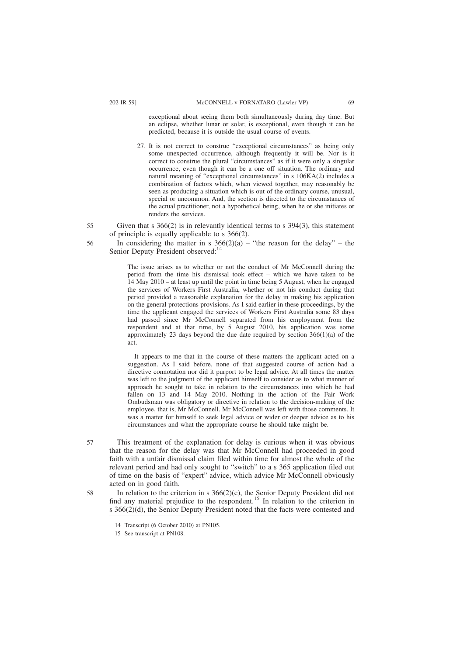exceptional about seeing them both simultaneously during day time. But an eclipse, whether lunar or solar, is exceptional, even though it can be predicted, because it is outside the usual course of events.

- 27. It is not correct to construe "exceptional circumstances" as being only some unexpected occurrence, although frequently it will be. Nor is it correct to construe the plural "circumstances" as if it were only a singular occurrence, even though it can be a one off situation. The ordinary and natural meaning of "exceptional circumstances" in s 106KA(2) includes a combination of factors which, when viewed together, may reasonably be seen as producing a situation which is out of the ordinary course, unusual, special or uncommon. And, the section is directed to the circumstances of the actual practitioner, not a hypothetical being, when he or she initiates or renders the services.
- Given that s  $366(2)$  is in relevantly identical terms to s  $394(3)$ , this statement of principle is equally applicable to s 366(2). 55
	- In considering the matter in s  $366(2)(a)$  "the reason for the delay" the Senior Deputy President observed:<sup>14</sup>

The issue arises as to whether or not the conduct of Mr McConnell during the period from the time his dismissal took effect – which we have taken to be 14 May 2010 – at least up until the point in time being 5 August, when he engaged the services of Workers First Australia, whether or not his conduct during that period provided a reasonable explanation for the delay in making his application on the general protections provisions. As I said earlier in these proceedings, by the time the applicant engaged the services of Workers First Australia some 83 days had passed since Mr McConnell separated from his employment from the respondent and at that time, by 5 August 2010, his application was some approximately 23 days beyond the due date required by section  $366(1)(a)$  of the act.

It appears to me that in the course of these matters the applicant acted on a suggestion. As I said before, none of that suggested course of action had a directive connotation nor did it purport to be legal advice. At all times the matter was left to the judgment of the applicant himself to consider as to what manner of approach he sought to take in relation to the circumstances into which he had fallen on 13 and 14 May 2010. Nothing in the action of the Fair Work Ombudsman was obligatory or directive in relation to the decision-making of the employee, that is, Mr McConnell. Mr McConnell was left with those comments. It was a matter for himself to seek legal advice or wider or deeper advice as to his circumstances and what the appropriate course he should take might be.

This treatment of the explanation for delay is curious when it was obvious that the reason for the delay was that Mr McConnell had proceeded in good faith with a unfair dismissal claim filed within time for almost the whole of the relevant period and had only sought to "switch" to a s 365 application filed out of time on the basis of "expert" advice, which advice Mr McConnell obviously acted on in good faith. 57

In relation to the criterion in s 366(2)(c), the Senior Deputy President did not find any material prejudice to the respondent.<sup>15</sup> In relation to the criterion in s 366(2)(d), the Senior Deputy President noted that the facts were contested and

56

<sup>14</sup> Transcript (6 October 2010) at PN105.

<sup>15</sup> See transcript at PN108.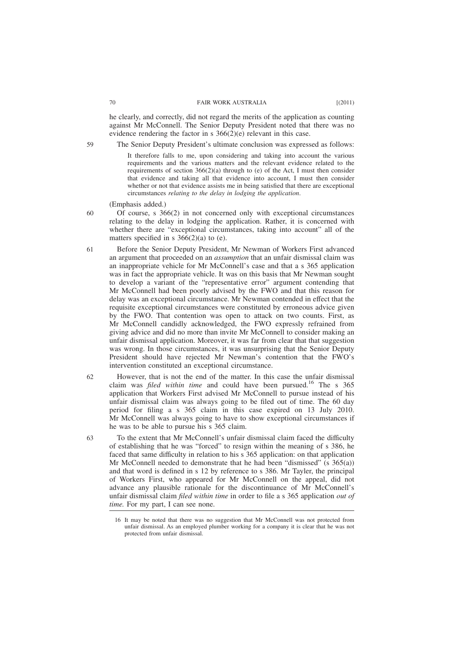he clearly, and correctly, did not regard the merits of the application as counting against Mr McConnell. The Senior Deputy President noted that there was no evidence rendering the factor in s 366(2)(e) relevant in this case.

The Senior Deputy President's ultimate conclusion was expressed as follows:

It therefore falls to me, upon considering and taking into account the various requirements and the various matters and the relevant evidence related to the requirements of section  $366(2)(a)$  through to (e) of the Act, I must then consider that evidence and taking all that evidence into account, I must then consider whether or not that evidence assists me in being satisfied that there are exceptional circumstances *relating to the delay in lodging the application*.

### (Emphasis added.)

- Of course, s 366(2) in not concerned only with exceptional circumstances relating to the delay in lodging the application. Rather, it is concerned with whether there are "exceptional circumstances, taking into account" all of the matters specified in s  $366(2)(a)$  to (e). 60
- Before the Senior Deputy President, Mr Newman of Workers First advanced an argument that proceeded on an *assumption* that an unfair dismissal claim was an inappropriate vehicle for Mr McConnell's case and that a s 365 application was in fact the appropriate vehicle. It was on this basis that Mr Newman sought to develop a variant of the "representative error" argument contending that Mr McConnell had been poorly advised by the FWO and that this reason for delay was an exceptional circumstance. Mr Newman contended in effect that the requisite exceptional circumstances were constituted by erroneous advice given by the FWO. That contention was open to attack on two counts. First, as Mr McConnell candidly acknowledged, the FWO expressly refrained from giving advice and did no more than invite Mr McConnell to consider making an unfair dismissal application. Moreover, it was far from clear that that suggestion was wrong. In those circumstances, it was unsurprising that the Senior Deputy President should have rejected Mr Newman's contention that the FWO's intervention constituted an exceptional circumstance. 61
- However, that is not the end of the matter. In this case the unfair dismissal claim was *filed within time* and could have been pursued.<sup>16</sup> The s 365 application that Workers First advised Mr McConnell to pursue instead of his unfair dismissal claim was always going to be filed out of time. The 60 day period for filing a s 365 claim in this case expired on 13 July 2010. Mr McConnell was always going to have to show exceptional circumstances if he was to be able to pursue his s 365 claim. 62
	- To the extent that Mr McConnell's unfair dismissal claim faced the difficulty of establishing that he was "forced" to resign within the meaning of s 386, he faced that same difficulty in relation to his s 365 application: on that application Mr McConnell needed to demonstrate that he had been "dismissed"  $(s\ 365(a))$ and that word is defined in s 12 by reference to s 386. Mr Tayler, the principal of Workers First, who appeared for Mr McConnell on the appeal, did not advance any plausible rationale for the discontinuance of Mr McConnell's unfair dismissal claim *filed within time* in order to file a s 365 application *out of time.* For my part, I can see none.

59

<sup>16</sup> It may be noted that there was no suggestion that Mr McConnell was not protected from unfair dismissal. As an employed plumber working for a company it is clear that he was not protected from unfair dismissal.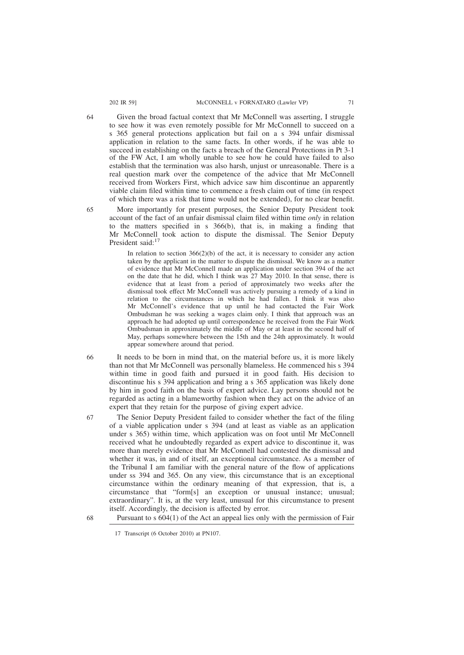#### 202 IR 59] McCONNELL v FORNATARO (Lawler VP) 71

Given the broad factual context that Mr McConnell was asserting, I struggle to see how it was even remotely possible for Mr McConnell to succeed on a s 365 general protections application but fail on a s 394 unfair dismissal application in relation to the same facts. In other words, if he was able to succeed in establishing on the facts a breach of the General Protections in Pt 3-1 of the FW Act, I am wholly unable to see how he could have failed to also establish that the termination was also harsh, unjust or unreasonable. There is a real question mark over the competence of the advice that Mr McConnell received from Workers First, which advice saw him discontinue an apparently viable claim filed within time to commence a fresh claim out of time (in respect of which there was a risk that time would not be extended), for no clear benefit.

65

More importantly for present purposes, the Senior Deputy President took account of the fact of an unfair dismissal claim filed within time *only* in relation to the matters specified in s 366(b), that is, in making a finding that Mr McConnell took action to dispute the dismissal. The Senior Deputy President said:<sup>17</sup>

In relation to section  $366(2)(b)$  of the act, it is necessary to consider any action taken by the applicant in the matter to dispute the dismissal. We know as a matter of evidence that Mr McConnell made an application under section 394 of the act on the date that he did, which I think was 27 May 2010. In that sense, there is evidence that at least from a period of approximately two weeks after the dismissal took effect Mr McConnell was actively pursuing a remedy of a kind in relation to the circumstances in which he had fallen. I think it was also Mr McConnell's evidence that up until he had contacted the Fair Work Ombudsman he was seeking a wages claim only. I think that approach was an approach he had adopted up until correspondence he received from the Fair Work Ombudsman in approximately the middle of May or at least in the second half of May, perhaps somewhere between the 15th and the 24th approximately. It would appear somewhere around that period.

It needs to be born in mind that, on the material before us, it is more likely than not that Mr McConnell was personally blameless. He commenced his s 394 within time in good faith and pursued it in good faith. His decision to discontinue his s 394 application and bring a s 365 application was likely done by him in good faith on the basis of expert advice. Lay persons should not be regarded as acting in a blameworthy fashion when they act on the advice of an expert that they retain for the purpose of giving expert advice.

The Senior Deputy President failed to consider whether the fact of the filing of a viable application under s 394 (and at least as viable as an application under s 365) within time, which application was on foot until Mr McConnell received what he undoubtedly regarded as expert advice to discontinue it, was more than merely evidence that Mr McConnell had contested the dismissal and whether it was, in and of itself, an exceptional circumstance. As a member of the Tribunal I am familiar with the general nature of the flow of applications under ss 394 and 365. On any view, this circumstance that is an exceptional circumstance within the ordinary meaning of that expression, that is, a circumstance that "form[s] an exception or unusual instance; unusual; extraordinary". It is, at the very least, unusual for this circumstance to present itself. Accordingly, the decision is affected by error.

Pursuant to s 604(1) of the Act an appeal lies only with the permission of Fair

64

66

67

<sup>17</sup> Transcript (6 October 2010) at PN107.